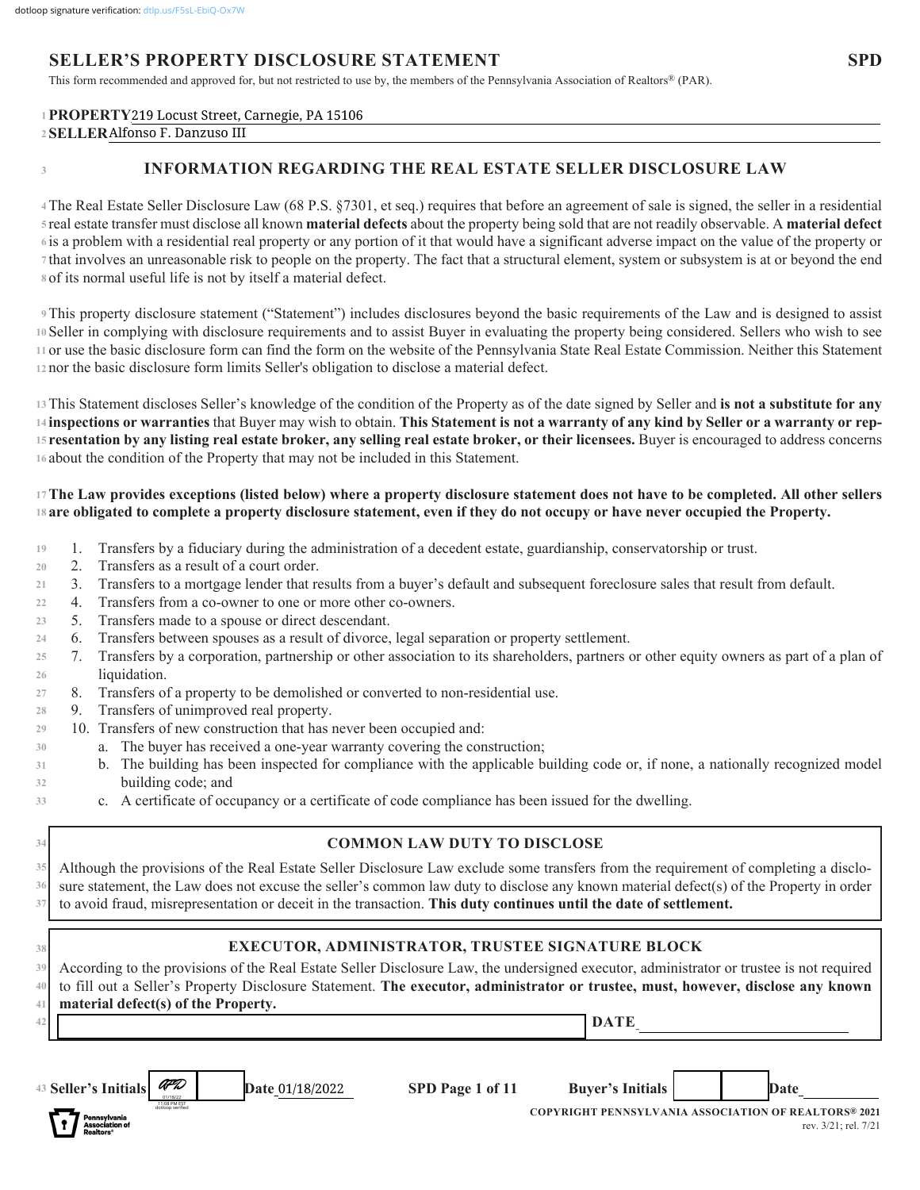# **SELLER'S PROPERTY DISCLOSURE STATEMENT**

This form recommended and approved for, but not restricted to use by, the members of the Pennsylvania Association of Realtors® (PAR).

## 1  $\mathbf{PROPERTY219}$  Locust Street, Carnegie, PA 15106 **SELLER\_\_\_\_\_\_\_\_\_\_\_\_\_\_\_\_\_\_\_\_\_\_\_\_\_\_\_\_\_\_\_\_\_\_\_\_\_\_\_\_\_\_\_\_\_\_\_\_\_\_\_\_\_\_\_\_\_\_\_\_\_\_\_\_\_\_\_\_\_\_\_\_\_\_\_\_\_\_\_\_\_\_\_\_\_\_\_\_\_\_\_\_\_\_\_\_\_\_\_\_\_\_ 2** Alfonso F. Danzuso III

**3**

# **INFORMATION REGARDING THE REAL ESTATE SELLER DISCLOSURE LAW**

The Real Estate Seller Disclosure Law (68 P.S. §7301, et seq.) requires that before an agreement of sale is signed, the seller in a residential **4** real estate transfer must disclose all known **material defects** about the property being sold that are not readily observable. A **material defect 5** is a problem with a residential real property or any portion of it that would have a significant adverse impact on the value of the property or **6** that involves an unreasonable risk to people on the property. The fact that a structural element, system or subsystem is at or beyond the end **7** of its normal useful life is not by itself a material defect. **8**

This property disclosure statement ("Statement") includes disclosures beyond the basic requirements of the Law and is designed to assist **9** Seller in complying with disclosure requirements and to assist Buyer in evaluating the property being considered. Sellers who wish to see **10** or use the basic disclosure form can find the form on the website of the Pennsylvania State Real Estate Commission. Neither this Statement **11** 12 nor the basic disclosure form limits Seller's obligation to disclose a material defect.

This Statement discloses Seller's knowledge of the condition of the Property as of the date signed by Seller and **is not a substitute for any 13 inspections or warranties** that Buyer may wish to obtain. **This Statement is not a warranty of any kind by Seller or a warranty or rep-14 resentation by any listing real estate broker, any selling real estate broker, or their licensees.** Buyer is encouraged to address concerns **15** 16 about the condition of the Property that may not be included in this Statement.

#### **The Law provides exceptions (listed below) where a property disclosure statement does not have to be completed. All other sellers 17 are obligated to complete a property disclosure statement, even if they do not occupy or have never occupied the Property. 18**

- 1. Transfers by a fiduciary during the administration of a decedent estate, guardianship, conservatorship or trust. **19**
- 2. Transfers as a result of a court order. **20**
- 3. Transfers to a mortgage lender that results from a buyer's default and subsequent foreclosure sales that result from default. **21**
- 4. Transfers from a co-owner to one or more other co-owners. **22**
- 5. Transfers made to a spouse or direct descendant. **23**
- 6. Transfers between spouses as a result of divorce, legal separation or property settlement. **24**
- 7. Transfers by a corporation, partnership or other association to its shareholders, partners or other equity owners as part of a plan of liquidation. **25 26**
- 8. Transfers of a property to be demolished or converted to non-residential use. **27**
- 9. Transfers of unimproved real property. **28**
- 10. Transfers of new construction that has never been occupied and: **29**
	- a. The buyer has received a one-year warranty covering the construction;
	- b. The building has been inspected for compliance with the applicable building code or, if none, a nationally recognized model building code; and
	- c. A certificate of occupancy or a certificate of code compliance has been issued for the dwelling.

| 34                   | <b>COMMON LAW DUTY TO DISCLOSE</b>                                                                                                                                                                                                                                                                                                                                     |
|----------------------|------------------------------------------------------------------------------------------------------------------------------------------------------------------------------------------------------------------------------------------------------------------------------------------------------------------------------------------------------------------------|
| 35                   | Although the provisions of the Real Estate Seller Disclosure Law exclude some transfers from the requirement of completing a disclo-                                                                                                                                                                                                                                   |
| 36                   | sure statement, the Law does not excuse the seller's common law duty to disclose any known material defect(s) of the Property in order                                                                                                                                                                                                                                 |
| 37                   | to avoid fraud, misrepresentation or deceit in the transaction. This duty continues until the date of settlement.                                                                                                                                                                                                                                                      |
| 38<br>39<br>40<br>41 | EXECUTOR, ADMINISTRATOR, TRUSTEE SIGNATURE BLOCK<br>According to the provisions of the Real Estate Seller Disclosure Law, the undersigned executor, administrator or trustee is not required<br>to fill out a Seller's Property Disclosure Statement. The executor, administrator or trustee, must, however, disclose any known<br>material defect(s) of the Property. |
| 42                   | <b>DATE</b>                                                                                                                                                                                                                                                                                                                                                            |
|                      |                                                                                                                                                                                                                                                                                                                                                                        |
|                      | AFD<br>43 Seller's Initials<br>SPD Page 1 of 11<br><b>Buyer's Initials</b><br><b>Date 01/18/2022</b><br>Date<br><b>COPYRIGHT PENNSYLVANIA ASSOCIATION OF REALTORS® 2021</b><br><sup>3</sup> ennsvlvani<br>rev. 3/21; rel. 7/21<br>ssociation o                                                                                                                         |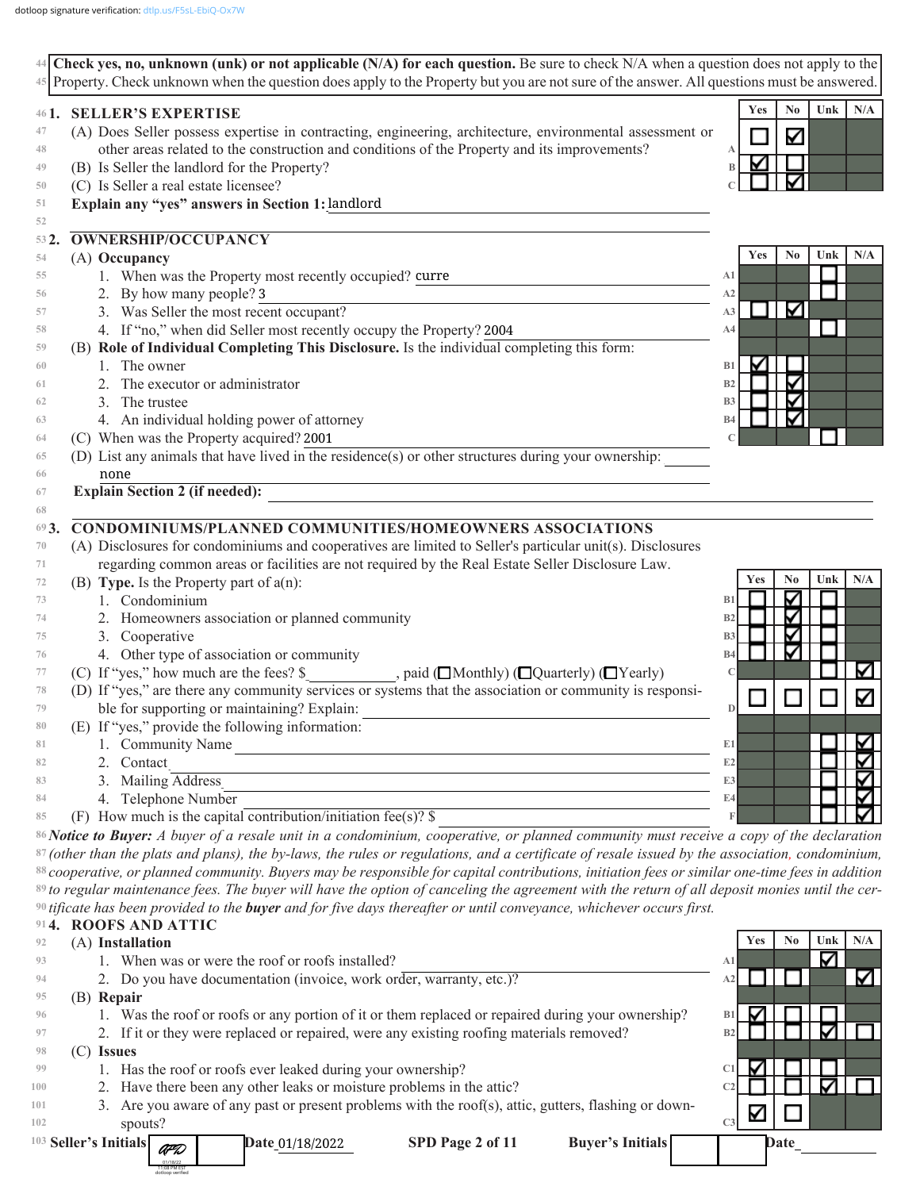|                                                                                                                                                            | 45 Property. Check unknown when the question does apply to the Property but you are not sure of the answer. All questions must be answered. |
|------------------------------------------------------------------------------------------------------------------------------------------------------------|---------------------------------------------------------------------------------------------------------------------------------------------|
| <b>SELLER'S EXPERTISE</b><br>461.                                                                                                                          | No<br>Unk<br>N/A<br>Yes                                                                                                                     |
| (A) Does Seller possess expertise in contracting, engineering, architecture, environmental assessment or                                                   | Κ                                                                                                                                           |
| other areas related to the construction and conditions of the Property and its improvements?                                                               |                                                                                                                                             |
| (B) Is Seller the landlord for the Property?                                                                                                               |                                                                                                                                             |
| (C) Is Seller a real estate licensee?                                                                                                                      |                                                                                                                                             |
| Explain any "yes" answers in Section 1: landlord                                                                                                           |                                                                                                                                             |
| OWNERSHIP/OCCUPANCY<br>532.                                                                                                                                |                                                                                                                                             |
| (A) Occupancy                                                                                                                                              | N <sub>0</sub><br>Unk<br>N/A<br>Yes                                                                                                         |
| 1. When was the Property most recently occupied? curre                                                                                                     | A1                                                                                                                                          |
| 2. By how many people? 3                                                                                                                                   | A2                                                                                                                                          |
| 3. Was Seller the most recent occupant?                                                                                                                    | Κ<br>A3                                                                                                                                     |
| 4. If "no," when did Seller most recently occupy the Property? 2004                                                                                        | A4                                                                                                                                          |
| (B) Role of Individual Completing This Disclosure. Is the individual completing this form:                                                                 |                                                                                                                                             |
| 1. The owner                                                                                                                                               | V<br>B1                                                                                                                                     |
| The executor or administrator                                                                                                                              | ⊽<br>B2                                                                                                                                     |
| 3. The trustee                                                                                                                                             | ⊽<br>B <sub>3</sub>                                                                                                                         |
| 4. An individual holding power of attorney                                                                                                                 | ⊽<br>B4                                                                                                                                     |
| (C) When was the Property acquired? 2001                                                                                                                   |                                                                                                                                             |
| (D) List any animals that have lived in the residence(s) or other structures during your ownership:                                                        |                                                                                                                                             |
| none                                                                                                                                                       |                                                                                                                                             |
| <b>Explain Section 2 (if needed):</b>                                                                                                                      |                                                                                                                                             |
| CONDOMINIUMS/PLANNED COMMUNITIES/HOMEOWNERS ASSOCIATIONS                                                                                                   |                                                                                                                                             |
| 693.<br>(A) Disclosures for condominiums and cooperatives are limited to Seller's particular unit(s). Disclosures                                          |                                                                                                                                             |
| regarding common areas or facilities are not required by the Real Estate Seller Disclosure Law.                                                            |                                                                                                                                             |
| (B) Type. Is the Property part of $a(n)$ :                                                                                                                 | N <sub>0</sub><br>Unk<br>N/A<br>Yes                                                                                                         |
| 1. Condominium                                                                                                                                             | ∇                                                                                                                                           |
|                                                                                                                                                            | B <sub>1</sub><br>∇                                                                                                                         |
| 2. Homeowners association or planned community                                                                                                             | B <sub>2</sub>                                                                                                                              |
| 3. Cooperative                                                                                                                                             | $\blacktriangleright$<br>B <sub>3</sub>                                                                                                     |
| 4. Other type of association or community                                                                                                                  | Κ<br><b>B4</b><br>Κ                                                                                                                         |
| (C) If "yes," how much are the fees? \$<br>, paid (□Monthly) (□Quarterly) (□Yearly)                                                                        |                                                                                                                                             |
| (D) If "yes," are there any community services or systems that the association or community is responsi-                                                   | Κ                                                                                                                                           |
| ble for supporting or maintaining? Explain:                                                                                                                | $\mathbb{D}$                                                                                                                                |
| (E) If "yes," provide the following information:                                                                                                           |                                                                                                                                             |
| 1. Community Name                                                                                                                                          | E1                                                                                                                                          |
| Contact                                                                                                                                                    | E2                                                                                                                                          |
| Mailing Address                                                                                                                                            | E3                                                                                                                                          |
| 4. Telephone Number                                                                                                                                        | E4                                                                                                                                          |
| (F) How much is the capital contribution/initiation fee(s)? $\$                                                                                            |                                                                                                                                             |
| 86 Notice to Buyer: A buyer of a resale unit in a condominium, cooperative, or planned community must receive a copy of the declaration                    |                                                                                                                                             |
| <sup>87</sup> (other than the plats and plans), the by-laws, the rules or regulations, and a certificate of resale issued by the association, condominium, |                                                                                                                                             |
| 88 cooperative, or planned community. Buyers may be responsible for capital contributions, initiation fees or similar one-time fees in addition            |                                                                                                                                             |
| 89 to regular maintenance fees. The buyer will have the option of canceling the agreement with the return of all deposit monies until the cer-             |                                                                                                                                             |
| $90$ tificate has been provided to the <b>buyer</b> and for five days thereafter or until conveyance, whichever occurs first.                              |                                                                                                                                             |
| <b>ROOFS AND ATTIC</b>                                                                                                                                     |                                                                                                                                             |
| (A) Installation                                                                                                                                           | No<br>Unk<br>N/A<br>Yes                                                                                                                     |
| 1. When was or were the roof or roofs installed?                                                                                                           | ∇<br>A1                                                                                                                                     |
| 2. Do you have documentation (invoice, work order, warranty, etc.)?                                                                                        | K<br>A2                                                                                                                                     |
| (B) Repair                                                                                                                                                 |                                                                                                                                             |
| 1. Was the roof or roofs or any portion of it or them replaced or repaired during your ownership?                                                          | M<br>B1                                                                                                                                     |
| 2. If it or they were replaced or repaired, were any existing roofing materials removed?                                                                   | ⊽<br>B <sub>2</sub>                                                                                                                         |
| $(C)$ Issues                                                                                                                                               |                                                                                                                                             |
| 1. Has the roof or roofs ever leaked during your ownership?                                                                                                | C1                                                                                                                                          |
| 2. Have there been any other leaks or moisture problems in the attic?                                                                                      | Κ<br>C <sub>2</sub>                                                                                                                         |
| 3. Are you aware of any past or present problems with the roof(s), attic, gutters, flashing or down-                                                       | V                                                                                                                                           |
|                                                                                                                                                            |                                                                                                                                             |
| spouts?                                                                                                                                                    | C <sub>3</sub>                                                                                                                              |
| <sup>103</sup> Seller's Initials<br>SPD Page 2 of 11<br><b>Buyer's Initials</b><br>Date_01/18/2022                                                         | Date                                                                                                                                        |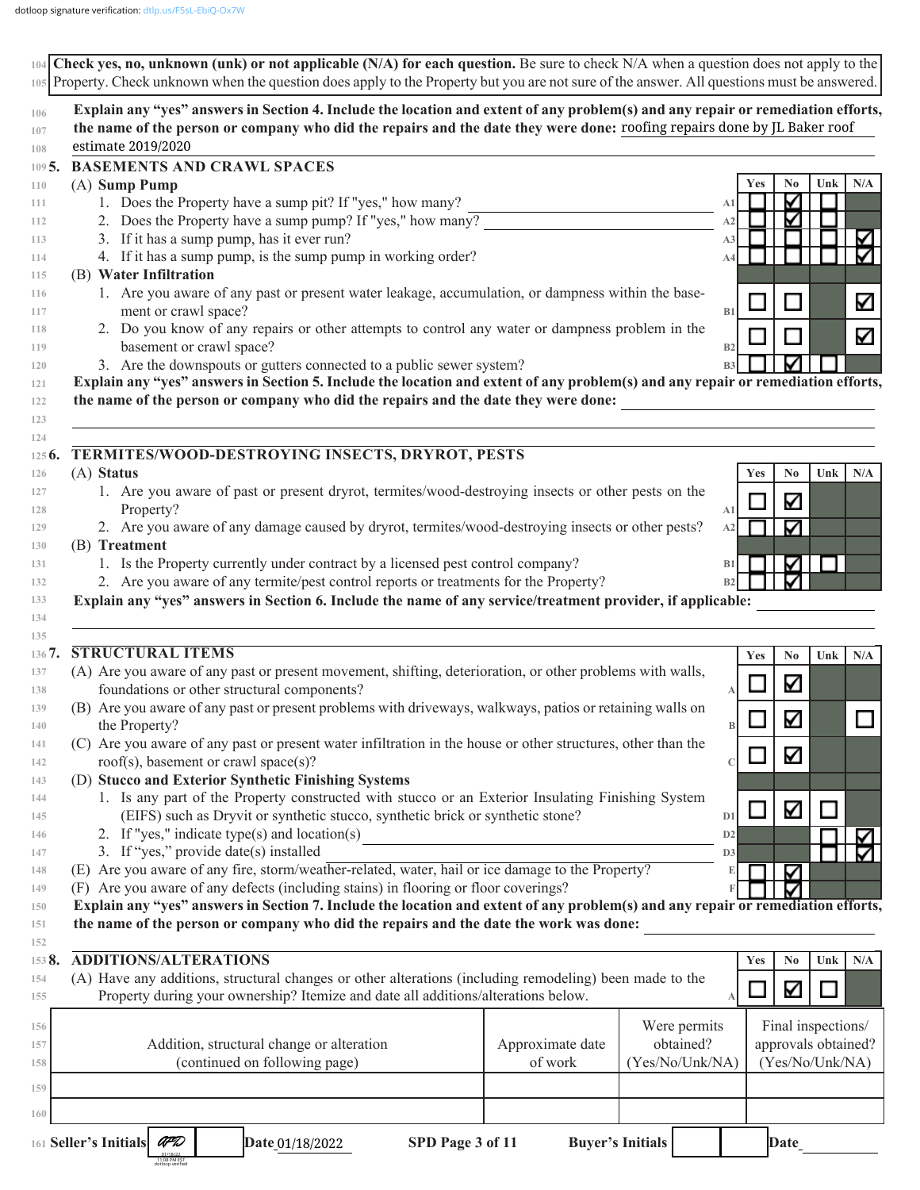|            | Explain any "yes" answers in Section 4. Include the location and extent of any problem(s) and any repair or remediation efforts,<br>the name of the person or company who did the repairs and the date they were done: roofing repairs done by JL Baker roof<br>estimate 2019/2020 |                                                                                                              |                      |                                        |
|------------|------------------------------------------------------------------------------------------------------------------------------------------------------------------------------------------------------------------------------------------------------------------------------------|--------------------------------------------------------------------------------------------------------------|----------------------|----------------------------------------|
|            | <b>BASEMENTS AND CRAWL SPACES</b>                                                                                                                                                                                                                                                  |                                                                                                              |                      |                                        |
|            | (A) Sump Pump                                                                                                                                                                                                                                                                      |                                                                                                              | Yes                  | N <sub>0</sub><br>Unk<br>N/A           |
|            | 1. Does the Property have a sump pit? If "yes," how many?                                                                                                                                                                                                                          |                                                                                                              | A1                   | ⊽                                      |
|            | 2. Does the Property have a sump pump? If "yes," how many?                                                                                                                                                                                                                         |                                                                                                              | A2                   | ⊽                                      |
|            | 3. If it has a sump pump, has it ever run?                                                                                                                                                                                                                                         |                                                                                                              | A <sub>3</sub>       |                                        |
|            | 4. If it has a sump pump, is the sump pump in working order?                                                                                                                                                                                                                       |                                                                                                              | A4                   |                                        |
|            | (B) Water Infiltration<br>1. Are you aware of any past or present water leakage, accumulation, or dampness within the base-                                                                                                                                                        |                                                                                                              |                      |                                        |
|            | ment or crawl space?                                                                                                                                                                                                                                                               |                                                                                                              | B1                   | L.                                     |
|            | 2. Do you know of any repairs or other attempts to control any water or dampness problem in the                                                                                                                                                                                    |                                                                                                              |                      |                                        |
|            | basement or crawl space?                                                                                                                                                                                                                                                           |                                                                                                              | B2                   |                                        |
|            | 3. Are the downspouts or gutters connected to a public sewer system?                                                                                                                                                                                                               |                                                                                                              | B <sub>3</sub>       |                                        |
|            | Explain any "yes" answers in Section 5. Include the location and extent of any problem(s) and any repair or remediation efforts,                                                                                                                                                   |                                                                                                              |                      |                                        |
|            | the name of the person or company who did the repairs and the date they were done:                                                                                                                                                                                                 |                                                                                                              |                      |                                        |
|            | TERMITES/WOOD-DESTROYING INSECTS, DRYROT, PESTS                                                                                                                                                                                                                                    |                                                                                                              |                      |                                        |
| (A) Status |                                                                                                                                                                                                                                                                                    |                                                                                                              | <b>Yes</b>           | Unk<br>N/A<br>N <sub>0</sub>           |
|            | 1. Are you aware of past or present dryrot, termites/wood-destroying insects or other pests on the                                                                                                                                                                                 |                                                                                                              |                      | Κ                                      |
|            | Property?                                                                                                                                                                                                                                                                          |                                                                                                              | A1                   |                                        |
|            | 2. Are you aware of any damage caused by dryrot, termites/wood-destroying insects or other pests?                                                                                                                                                                                  |                                                                                                              | A2                   | Κ                                      |
|            | (B) Treatment                                                                                                                                                                                                                                                                      |                                                                                                              |                      |                                        |
|            | 1. Is the Property currently under contract by a licensed pest control company?                                                                                                                                                                                                    |                                                                                                              | B1                   | ⊽                                      |
|            | 2. Are you aware of any termite/pest control reports or treatments for the Property?<br>Explain any "yes" answers in Section 6. Include the name of any service/treatment provider, if applicable:                                                                                 |                                                                                                              | B2                   |                                        |
|            | <b>STRUCTURAL ITEMS</b><br>(A) Are you aware of any past or present movement, shifting, deterioration, or other problems with walls,                                                                                                                                               |                                                                                                              | Yes                  | N/A<br>N <sub>0</sub><br>Unk           |
|            | foundations or other structural components?                                                                                                                                                                                                                                        |                                                                                                              |                      | K                                      |
|            | (B) Are you aware of any past or present problems with driveways, walkways, patios or retaining walls on                                                                                                                                                                           |                                                                                                              |                      |                                        |
|            | the Property?                                                                                                                                                                                                                                                                      |                                                                                                              | B                    |                                        |
|            |                                                                                                                                                                                                                                                                                    |                                                                                                              |                      | Μ                                      |
|            |                                                                                                                                                                                                                                                                                    | (C) Are you aware of any past or present water infiltration in the house or other structures, other than the |                      |                                        |
|            | roof(s), basement or crawl space(s)?                                                                                                                                                                                                                                               |                                                                                                              |                      | Κ                                      |
|            | (D) Stucco and Exterior Synthetic Finishing Systems                                                                                                                                                                                                                                |                                                                                                              |                      |                                        |
|            | 1. Is any part of the Property constructed with stucco or an Exterior Insulating Finishing System                                                                                                                                                                                  |                                                                                                              |                      |                                        |
|            | (EIFS) such as Dryvit or synthetic stucco, synthetic brick or synthetic stone?                                                                                                                                                                                                     |                                                                                                              | D <sub>1</sub>       | Ν                                      |
|            | 2. If "yes," indicate type(s) and location(s)                                                                                                                                                                                                                                      |                                                                                                              | D2<br>D <sub>3</sub> |                                        |
|            | 3. If "yes," provide date(s) installed                                                                                                                                                                                                                                             |                                                                                                              |                      |                                        |
|            | (E) Are you aware of any fire, storm/weather-related, water, hail or ice damage to the Property?<br>(F) Are you aware of any defects (including stains) in flooring or floor coverings?                                                                                            |                                                                                                              |                      | ✓                                      |
|            | Explain any "yes" answers in Section 7. Include the location and extent of any problem(s) and any repair or remediation efforts,                                                                                                                                                   |                                                                                                              |                      |                                        |
|            | the name of the person or company who did the repairs and the date the work was done:                                                                                                                                                                                              |                                                                                                              |                      |                                        |
|            | <b>ADDITIONS/ALTERATIONS</b>                                                                                                                                                                                                                                                       |                                                                                                              | Yes                  | N/A<br>Unk<br>No                       |
|            | (A) Have any additions, structural changes or other alterations (including remodeling) been made to the                                                                                                                                                                            |                                                                                                              |                      |                                        |
|            | Property during your ownership? Itemize and date all additions/alterations below.                                                                                                                                                                                                  |                                                                                                              |                      | Κ                                      |
|            |                                                                                                                                                                                                                                                                                    |                                                                                                              | Were permits         | Final inspections/                     |
|            | Addition, structural change or alteration                                                                                                                                                                                                                                          | Approximate date                                                                                             | obtained?            |                                        |
|            | (continued on following page)                                                                                                                                                                                                                                                      | of work                                                                                                      | (Yes/No/Unk/NA)      |                                        |
|            |                                                                                                                                                                                                                                                                                    |                                                                                                              |                      | approvals obtained?<br>(Yes/No/Unk/NA) |
|            |                                                                                                                                                                                                                                                                                    |                                                                                                              |                      |                                        |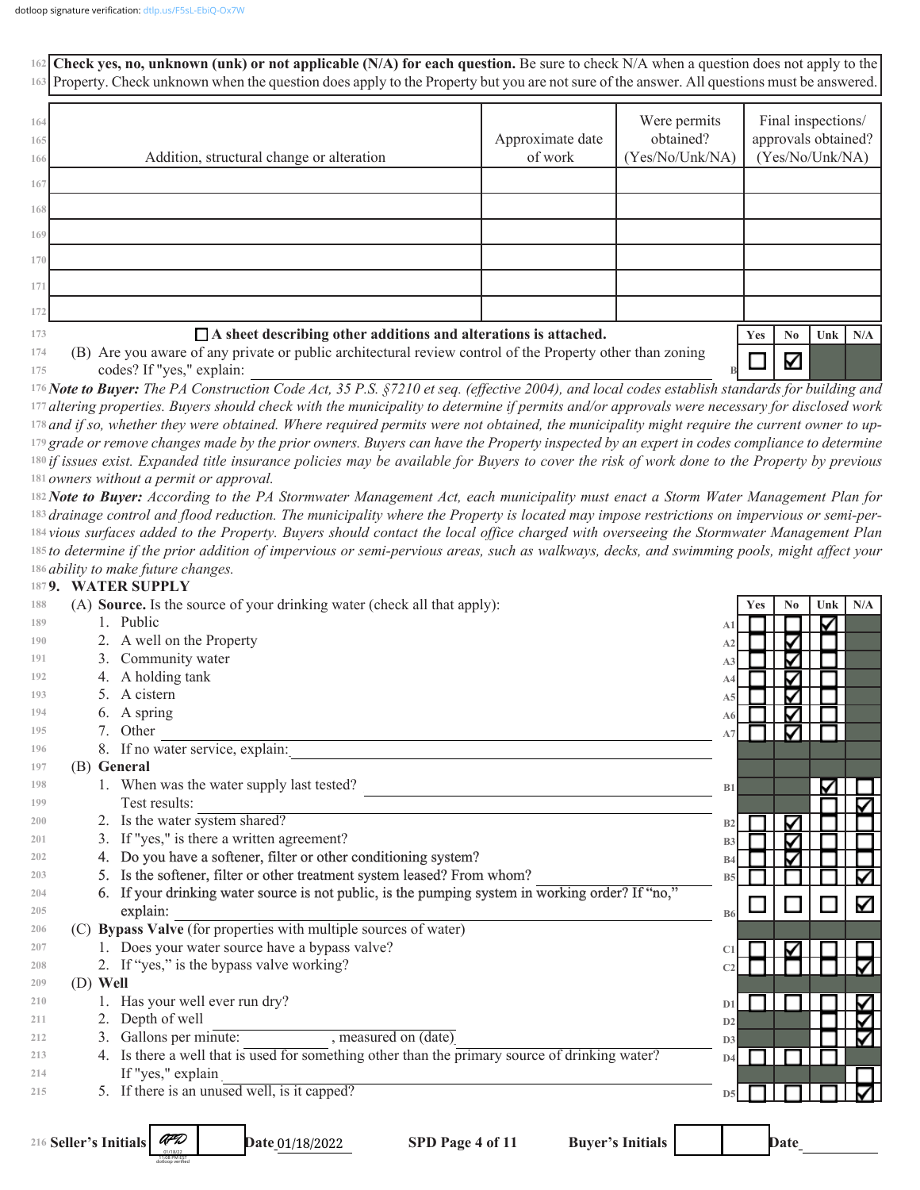**Check yes, no, unknown (unk) or not applicable (N/A) for each question.** Be sure to check N/A when a question does not apply to the **162 163** Property. Check unknown when the question does apply to the Property but you are not sure of the answer. All questions must be answered. Were permits Final inspections/ **164** Approximate date obtained? approvals obtained? **165** Addition, structural change or alteration of work (Yes/No/Unk/NA) (Yes/No/Unk/NA) **166 167 168 169 170 171 172 173 A sheet describing other additions and alterations is attached. Yes No Unk N/A 174** (B) Are you aware of any private or public architectural review control of the Property other than zoning ✓ codes? If "yes," explain: **175 B** *Note to Buyer: The PA Construction Code Act, 35 P.S. §7210 et seq. (effective 2004), and local codes establish standards for building and*  **176** *altering properties. Buyers should check with the municipality to determine if permits and/or approvals were necessary for disclosed work*  **177** *and if so, whether they were obtained. Where required permits were not obtained, the municipality might require the current owner to up-***178** <sup>179</sup> grade or remove changes made by the prior owners. Buyers can have the Property inspected by an expert in codes compliance to determine *if issues exist. Expanded title insurance policies may be available for Buyers to cover the risk of work done to the Property by previous*  **180** 181 owners without a permit or approval. *Note to Buyer: According to the PA Stormwater Management Act, each municipality must enact a Storm Water Management Plan for*  **182** *drainage control and flood reduction. The municipality where the Property is located may impose restrictions on impervious or semi-per-***183** *vious surfaces added to the Property. Buyers should contact the local office charged with overseeing the Stormwater Management Plan*  **184** *to determine if the prior addition of impervious or semi-pervious areas, such as walkways, decks, and swimming pools, might affect your*  **185** *ability to make future changes.* **186 9. WATER SUPPLY 187 188** (A) **Source.** Is the source of your drinking water (check all that apply): **Yes No Unk N/A 189** 1. Public **A1 190** 2. A well on the Property **A2 191** 3. Community water **A3 192** 4. A holding tank **A4** 5. A cistern **193 A5** 6. A spring **194 A6 195** 7. Other  $\blacksquare$ **A7 196** 8. If no water service, explain: **197** (B) **General** 1. When was the water supply last tested? **198 B1** Test results: **199**

| -199 | Test results:                  |
|------|--------------------------------|
| 200  | 2. Is the water system shared? |

- 3. If "yes," is there a written agreement? **201**
	- 4. Do you have a softener, filter or other conditioning system?
		- 5. Is the softener, filter or other treatment system leased? From whom?
	- 6. If your drinking water source is not public, is the pumping system in working order? If "no,"  $\exp$  and  $\exp$  and  $\exp$  and  $\exp$  and  $\exp$  and  $\exp$  and  $\exp$  and  $\exp$  and  $\exp$  and  $\exp$  and  $\exp$  and  $\exp$  and  $\exp$  and  $\exp$  and  $\exp$  and  $\exp$  and  $\exp$  and  $\exp$  and  $\exp$  and  $\exp$  and  $\exp$  and  $\exp$  and  $\exp$  and  $\exp$  and  $\exp$
- (C) **Bypass Valve** (for properties with multiple sources of water) **206**
	- 1. Does your water source have a bypass valve?
	- 2. If "yes," is the bypass valve working?

(D) **Well**

1. Has your well ever run dry?

AFD 01/18/22 11:08 PM EST dotloop verified

- 2. Depth of well
- 3. Gallons per minute: , measured on (date) **212**
- 4. Is there a well that is used for something other than the primary source of drinking water? If "yes," explain **213 214**
- 5. If there is an unused well, is it capped? **215**



216 Seller's Initials

Date 01/18/2022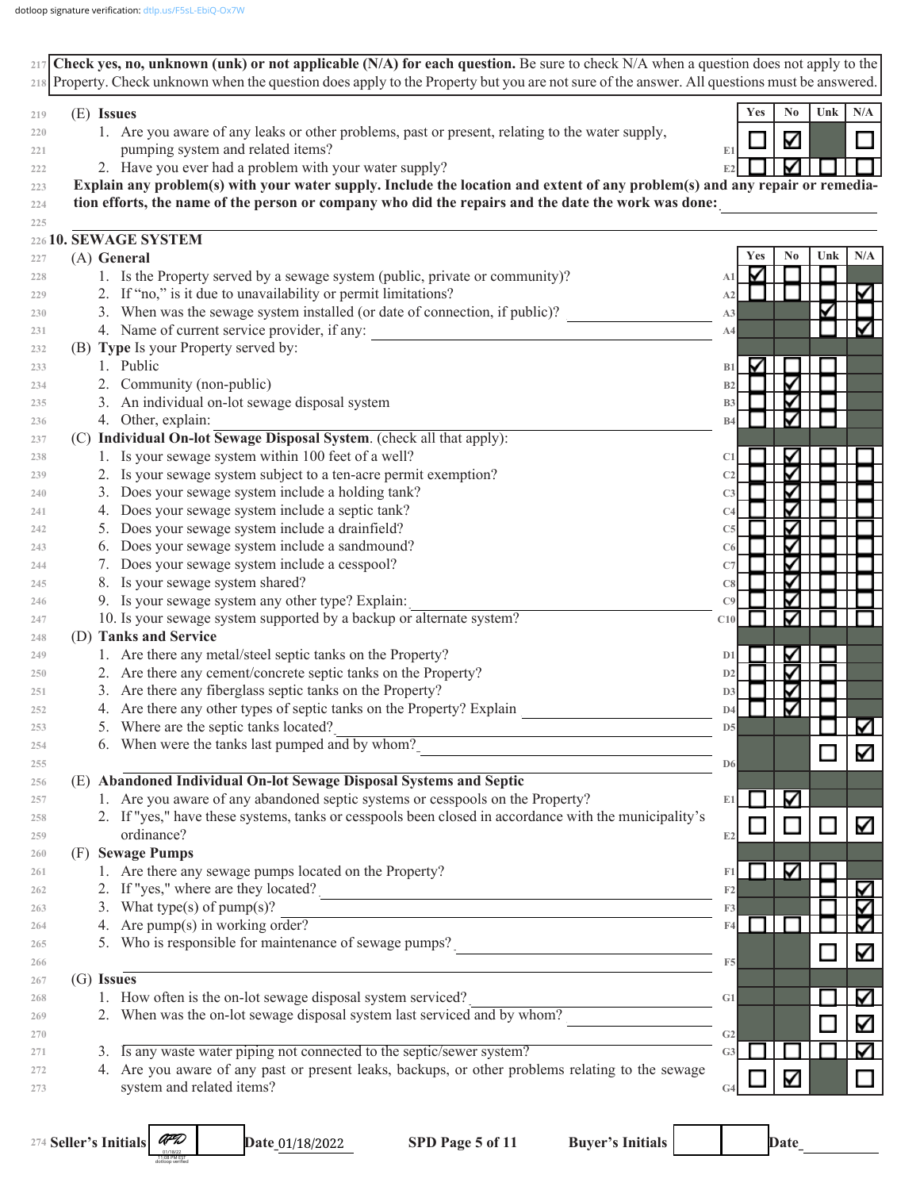| 218 Property. Check unknown when the question does apply to the Property but you are not sure of the answer. All questions must be answered. |                                     |
|----------------------------------------------------------------------------------------------------------------------------------------------|-------------------------------------|
| (E) Issues                                                                                                                                   | Yes<br>N <sub>0</sub><br>Unk<br>N/A |
| 1. Are you aware of any leaks or other problems, past or present, relating to the water supply,                                              |                                     |
| pumping system and related items?                                                                                                            | Κ<br>E1                             |
| 2. Have you ever had a problem with your water supply?                                                                                       | E2                                  |
| Explain any problem(s) with your water supply. Include the location and extent of any problem(s) and any repair or remedia-                  |                                     |
| tion efforts, the name of the person or company who did the repairs and the date the work was done:                                          |                                     |
|                                                                                                                                              |                                     |
| 22610. SEWAGE SYSTEM                                                                                                                         |                                     |
| (A) General                                                                                                                                  | N/A<br>Yes<br>No<br>Unk             |
| 1. Is the Property served by a sewage system (public, private or community)?                                                                 | ✓<br>A1                             |
| 2. If "no," is it due to unavailability or permit limitations?                                                                               | A <sub>2</sub>                      |
| 3. When was the sewage system installed (or date of connection, if public)?                                                                  | A3                                  |
| 4. Name of current service provider, if any:                                                                                                 | A4                                  |
| (B) Type Is your Property served by:                                                                                                         |                                     |
| 1. Public                                                                                                                                    | ✓<br>B1                             |
| 2. Community (non-public)                                                                                                                    | Δ<br>B <sub>2</sub>                 |
| 3. An individual on-lot sewage disposal system                                                                                               | Δ<br>B <sub>3</sub>                 |
| 4. Other, explain:                                                                                                                           | <b>B4</b>                           |
| (C) Individual On-lot Sewage Disposal System. (check all that apply):                                                                        |                                     |
| 1. Is your sewage system within 100 feet of a well?                                                                                          | ⋗<br>C1                             |
| 2. Is your sewage system subject to a ten-acre permit exemption?                                                                             | Δ<br>C <sub>2</sub>                 |
| 3. Does your sewage system include a holding tank?                                                                                           | Δ<br>C <sub>3</sub>                 |
| 4. Does your sewage system include a septic tank?                                                                                            | Δ<br>C <sub>4</sub>                 |
| 5. Does your sewage system include a drainfield?                                                                                             | ✓                                   |
| 6. Does your sewage system include a sandmound?                                                                                              | C <sub>5</sub>                      |
|                                                                                                                                              | ✓<br>C6                             |
| 7. Does your sewage system include a cesspool?                                                                                               | ><br>C7                             |
| 8. Is your sewage system shared?                                                                                                             | Δ<br>C8                             |
| 9. Is your sewage system any other type? Explain:                                                                                            | ✓<br>C9                             |
| 10. Is your sewage system supported by a backup or alternate system?                                                                         | C10                                 |
| (D) Tanks and Service                                                                                                                        |                                     |
| 1. Are there any metal/steel septic tanks on the Property?                                                                                   | ⋗<br>D1                             |
| 2. Are there any cement/concrete septic tanks on the Property?                                                                               | ✓<br>D <sub>2</sub>                 |
| 3. Are there any fiberglass septic tanks on the Property?                                                                                    | ⋗<br>D <sub>3</sub>                 |
| 4. Are there any other types of septic tanks on the Property? Explain                                                                        | V<br>D <sub>4</sub>                 |
| 5. Where are the septic tanks located?                                                                                                       | V<br>D <sub>5</sub>                 |
| 6. When were the tanks last pumped and by whom?                                                                                              | Κ<br>D <sub>6</sub>                 |
| (E) Abandoned Individual On-lot Sewage Disposal Systems and Septic                                                                           |                                     |
| 1. Are you aware of any abandoned septic systems or cesspools on the Property?                                                               | ∇<br>E1                             |
| 2. If "yes," have these systems, tanks or cesspools been closed in accordance with the municipality's                                        | Κ<br>$\Box$                         |
| ordinance?                                                                                                                                   | ш<br>E2                             |
| (F) Sewage Pumps                                                                                                                             |                                     |
| 1. Are there any sewage pumps located on the Property?                                                                                       | ∇<br>F1                             |
| 2. If "yes," where are they located?                                                                                                         | V<br>F2                             |
| 3. What type(s) of pump(s)?                                                                                                                  | F3                                  |
| 4. Are pump(s) in working order?                                                                                                             | F4                                  |
| 5. Who is responsible for maintenance of sewage pumps?                                                                                       | Δ                                   |
| $(G)$ Issues                                                                                                                                 | F <sub>5</sub>                      |
| 1. How often is the on-lot sewage disposal system serviced?                                                                                  | K<br>G1                             |
| 2. When was the on-lot sewage disposal system last serviced and by whom?                                                                     |                                     |
|                                                                                                                                              | Κ<br>G <sub>2</sub>                 |
| 3. Is any waste water piping not connected to the septic/sewer system?                                                                       | ∇<br>G <sub>3</sub>                 |
| 4. Are you aware of any past or present leaks, backups, or other problems relating to the sewage                                             |                                     |
|                                                                                                                                              | Κ                                   |

**Seller's Initials [\\_\\_\\_\\_\\_\\_](https://dtlp.us/F5sL-EbiQ-Ox7W)\_\_\_\_\_\_ Date\_\_\_\_\_\_\_\_\_\_ SPD Page 5 of 11 Buyer's Initials \_\_\_\_\_\_\_\_\_\_\_\_ Date\_\_\_\_\_\_\_\_\_\_ 274** AFD 01/18/22 11:08 PM EST dotloop verified

Date\_01/18/2022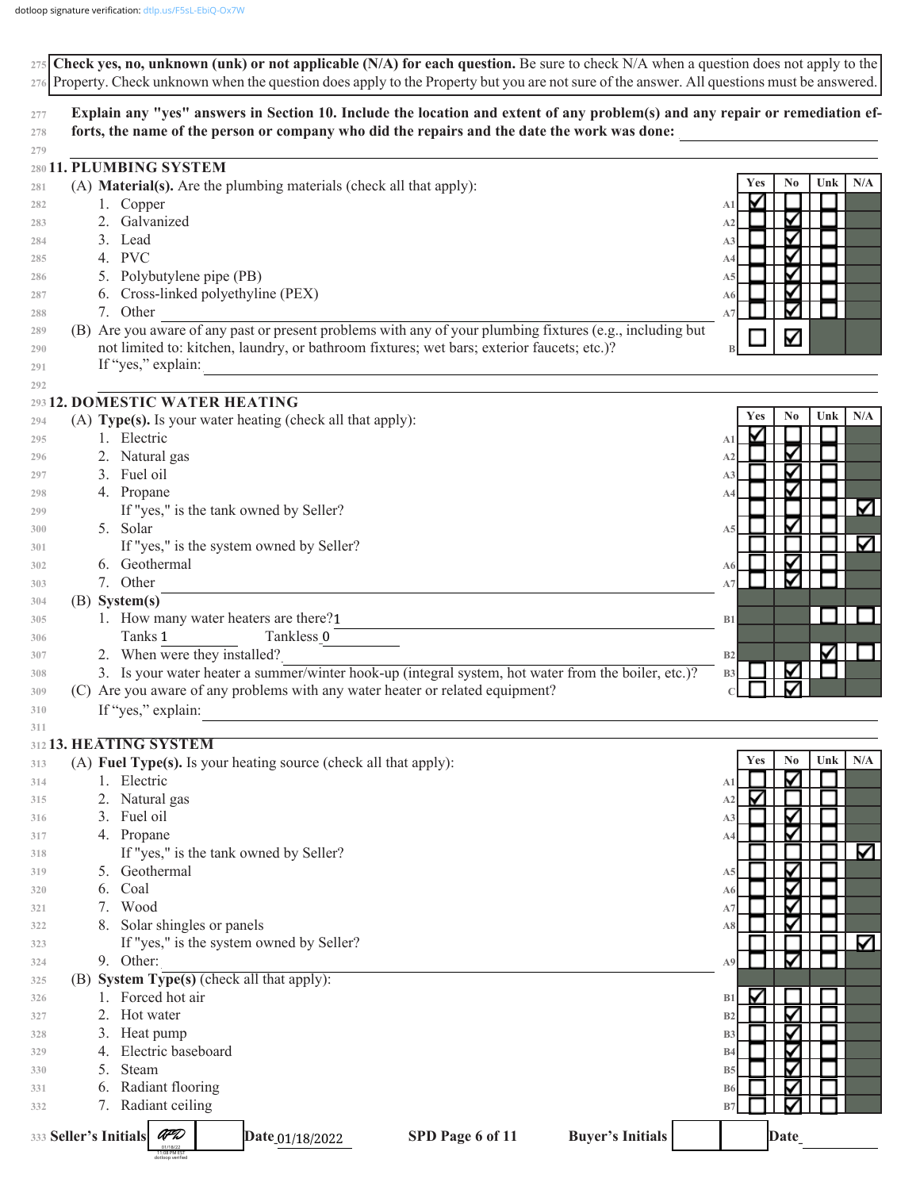|            | 275 Check yes, no, unknown (unk) or not applicable (N/A) for each question. Be sure to check $N/A$ when a question does not apply to the<br>276 Property. Check unknown when the question does apply to the Property but you are not sure of the answer. All questions must be answered. |                                            |
|------------|------------------------------------------------------------------------------------------------------------------------------------------------------------------------------------------------------------------------------------------------------------------------------------------|--------------------------------------------|
| 277        | Explain any "yes" answers in Section 10. Include the location and extent of any problem(s) and any repair or remediation ef-                                                                                                                                                             |                                            |
| 278        | forts, the name of the person or company who did the repairs and the date the work was done:                                                                                                                                                                                             |                                            |
| 279        |                                                                                                                                                                                                                                                                                          |                                            |
|            | 280 11. PLUMBING SYSTEM                                                                                                                                                                                                                                                                  | N <sub>0</sub><br>Unk<br>N/A<br><b>Yes</b> |
| 281        | (A) Material(s). Are the plumbing materials (check all that apply):                                                                                                                                                                                                                      | ✓                                          |
| 282        | 1. Copper<br>Galvanized<br>2.                                                                                                                                                                                                                                                            | A <sub>1</sub><br>Κ<br>A2                  |
| 283<br>284 | 3. Lead                                                                                                                                                                                                                                                                                  | Κ<br>A <sub>3</sub>                        |
| 285        | 4. PVC                                                                                                                                                                                                                                                                                   | Κ<br>A4                                    |
| 286        | 5. Polybutylene pipe (PB)                                                                                                                                                                                                                                                                | ∇<br>A5                                    |
| 287        | 6. Cross-linked polyethyline (PEX)                                                                                                                                                                                                                                                       | Κ<br>A6                                    |
| 288        | 7. Other                                                                                                                                                                                                                                                                                 | A7                                         |
| 289        | (B) Are you aware of any past or present problems with any of your plumbing fixtures (e.g., including but                                                                                                                                                                                | Μ                                          |
| 290        | not limited to: kitchen, laundry, or bathroom fixtures; wet bars; exterior faucets; etc.)?                                                                                                                                                                                               |                                            |
| 291        | If "yes," explain:                                                                                                                                                                                                                                                                       |                                            |
| 292        |                                                                                                                                                                                                                                                                                          |                                            |
|            | 293 12. DOMESTIC WATER HEATING                                                                                                                                                                                                                                                           | N <sub>0</sub><br>Unk<br>N/A<br>Yes        |
| 294<br>295 | (A) Type(s). Is your water heating (check all that apply):<br>1. Electric                                                                                                                                                                                                                | ✓<br>A <sub>1</sub>                        |
| 296        | 2. Natural gas                                                                                                                                                                                                                                                                           | Κ<br>A2                                    |
| 297        | 3. Fuel oil                                                                                                                                                                                                                                                                              | $\blacktriangledown$<br>A3                 |
| 298        | 4. Propane                                                                                                                                                                                                                                                                               | ∇<br>A4                                    |
| 299        | If "yes," is the tank owned by Seller?                                                                                                                                                                                                                                                   | ☑                                          |
| 300        | 5. Solar                                                                                                                                                                                                                                                                                 | ∇<br>A <sub>5</sub>                        |
| 301        | If "yes," is the system owned by Seller?                                                                                                                                                                                                                                                 | ☑                                          |
| 302        | 6. Geothermal                                                                                                                                                                                                                                                                            | Ν<br>A6                                    |
| 303        | 7. Other                                                                                                                                                                                                                                                                                 | $\blacktriangleright$<br>A7                |
| 304        | (B) System(s)                                                                                                                                                                                                                                                                            |                                            |
| 305        | 1. How many water heaters are there?1                                                                                                                                                                                                                                                    | B1                                         |
| 306        | Tanks 1<br>Tankless 0                                                                                                                                                                                                                                                                    | Δ                                          |
| 307        | 2. When were they installed?<br>3. Is your water heater a summer/winter hook-up (integral system, hot water from the boiler, etc.)?                                                                                                                                                      | B2<br>Κ                                    |
| 308<br>309 | (C) Are you aware of any problems with any water heater or related equipment?                                                                                                                                                                                                            | <b>B3</b>                                  |
| 310        | If "yes," explain:                                                                                                                                                                                                                                                                       |                                            |
| 311        |                                                                                                                                                                                                                                                                                          |                                            |
|            | 312 13. HEATING SYSTEM                                                                                                                                                                                                                                                                   |                                            |
| 313        | (A) Fuel Type(s). Is your heating source (check all that apply):                                                                                                                                                                                                                         | No<br>Unk<br>N/A<br>Yes                    |
| 314        | Electric                                                                                                                                                                                                                                                                                 | V<br>A1                                    |
| 315        | Natural gas<br>2.                                                                                                                                                                                                                                                                        | ✔<br>A2                                    |
| 316        | Fuel oil<br>3.                                                                                                                                                                                                                                                                           | $\blacktriangleright$<br>A <sub>3</sub>    |
| 317        | 4. Propane                                                                                                                                                                                                                                                                               | ✓<br>A4                                    |
| 318        | If "yes," is the tank owned by Seller?                                                                                                                                                                                                                                                   | M                                          |
| 319        | Geothermal<br>5.                                                                                                                                                                                                                                                                         | $\blacktriangleright$<br>A5<br>✓           |
| 320        | Coal<br>6.<br>Wood                                                                                                                                                                                                                                                                       | A6<br>⊽                                    |
| 321        | 7.<br>Solar shingles or panels                                                                                                                                                                                                                                                           | A7<br>⊽                                    |
| 322<br>323 | If "yes," is the system owned by Seller?                                                                                                                                                                                                                                                 | A8<br>V                                    |
| 324        | 9. Other:                                                                                                                                                                                                                                                                                | $\blacktriangleright$<br>A9                |
| 325        | (B) System Type(s) (check all that apply):                                                                                                                                                                                                                                               |                                            |
| 326        | Forced hot air                                                                                                                                                                                                                                                                           | ✓<br>B1                                    |
| 327        | Hot water<br>2.                                                                                                                                                                                                                                                                          | $\blacktriangleright$<br>B <sub>2</sub>    |
| 328        | Heat pump<br>3.                                                                                                                                                                                                                                                                          | $\blacktriangleright$<br>B <sub>3</sub>    |
| 329        | Electric baseboard<br>4.                                                                                                                                                                                                                                                                 | ≻<br><b>B4</b>                             |
| 330        | Steam<br>5.                                                                                                                                                                                                                                                                              | ≻<br><b>B5</b>                             |
| 331        | Radiant flooring<br>6.                                                                                                                                                                                                                                                                   | $\blacktriangleright$<br><b>B6</b>         |
| 332        | Radiant ceiling<br>7.                                                                                                                                                                                                                                                                    | B7                                         |
|            | AFD<br>333 Seller's Initials<br>SPD Page 6 of 11<br><b>Buyer's Initials</b><br>Date_01/18/2022<br>11:08 PM EST                                                                                                                                                                           | Date                                       |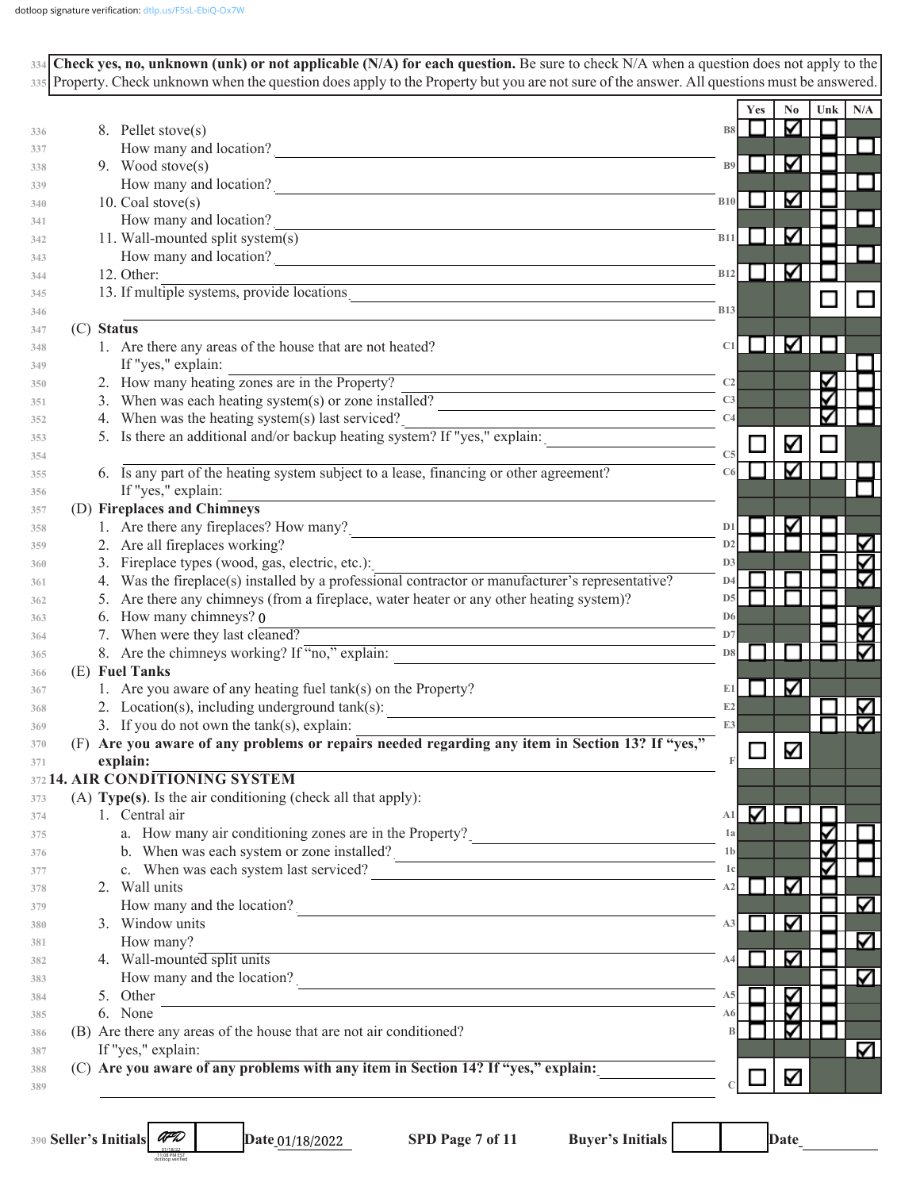| $334$ Check yes, no, unknown (unk) or not applicable (N/A) for each question. Be sure to check N/A when a question does not apply to the                        |                |                                 |                |               |     |
|-----------------------------------------------------------------------------------------------------------------------------------------------------------------|----------------|---------------------------------|----------------|---------------|-----|
| 335 Property. Check unknown when the question does apply to the Property but you are not sure of the answer. All questions must be answered.                    |                |                                 |                |               |     |
|                                                                                                                                                                 |                | <b>Yes</b>                      | N <sub>0</sub> | Unk           | N/A |
| 8. Pellet stove(s)                                                                                                                                              | <b>B8</b>      |                                 | Μ              |               |     |
| How many and location?                                                                                                                                          |                |                                 |                |               |     |
| 9. Wood stove(s)                                                                                                                                                | B9             |                                 | M              |               |     |
| How many and location?                                                                                                                                          |                |                                 |                |               |     |
| 10. Coal stove(s)                                                                                                                                               | <b>B10</b>     |                                 | ✓              |               |     |
| How many and location?                                                                                                                                          |                |                                 |                |               |     |
| 11. Wall-mounted split system(s)                                                                                                                                | <b>B11</b>     |                                 | M              |               |     |
| How many and location?                                                                                                                                          |                |                                 |                |               |     |
| 12. Other:<br><u> 1989 - Johann Stoff, deutscher Stoffen und der Stoffen und der Stoffen und der Stoffen und der Stoffen und der</u>                            | B12            |                                 | K              |               |     |
| 13. If multiple systems, provide locations                                                                                                                      | <b>B13</b>     |                                 |                |               |     |
| (C) Status                                                                                                                                                      |                |                                 |                |               |     |
| 1. Are there any areas of the house that are not heated?                                                                                                        | C1             |                                 | M              |               |     |
| If "yes," explain:                                                                                                                                              |                |                                 |                |               |     |
| 2. How many heating zones are in the Property?                                                                                                                  | C <sub>2</sub> |                                 |                | ∨             |     |
| 3. When was each heating system(s) or zone installed?                                                                                                           | C <sub>3</sub> |                                 |                |               |     |
| 4. When was the heating system(s) last serviced?                                                                                                                | C <sub>4</sub> |                                 |                |               |     |
| 5. Is there an additional and/or backup heating system? If "yes," explain:                                                                                      |                |                                 | K              |               |     |
|                                                                                                                                                                 | C <sub>5</sub> |                                 |                |               |     |
| 6. Is any part of the heating system subject to a lease, financing or other agreement?                                                                          |                |                                 | ∨              |               |     |
| If "yes," explain:                                                                                                                                              |                |                                 |                |               |     |
| (D) Fireplaces and Chimneys                                                                                                                                     |                |                                 |                |               |     |
| 1. Are there any fireplaces? How many?                                                                                                                          | D <sub>1</sub> |                                 | ⊽              |               |     |
| 2. Are all fireplaces working?                                                                                                                                  | D2             |                                 |                |               |     |
| 3. Fireplace types (wood, gas, electric, etc.):                                                                                                                 | D <sub>3</sub> |                                 |                |               |     |
| 4. Was the fireplace(s) installed by a professional contractor or manufacturer's representative?                                                                | D4             |                                 |                |               |     |
| 5. Are there any chimneys (from a fireplace, water heater or any other heating system)?                                                                         | D5             |                                 |                |               |     |
| 6. How many chimneys? 0                                                                                                                                         | D <sub>6</sub> |                                 |                |               |     |
| 7. When were they last cleaned?                                                                                                                                 | D7             |                                 |                |               |     |
| 8. Are the chimneys working? If "no," explain:                                                                                                                  | D8             |                                 |                |               |     |
| (E) Fuel Tanks                                                                                                                                                  |                |                                 |                |               |     |
| 1. Are you aware of any heating fuel tank(s) on the Property?                                                                                                   | E1             |                                 | V              |               |     |
| 2. Location(s), including underground $tank(s)$ :                                                                                                               | E2             |                                 |                |               |     |
| 3. If you do not own the $tank(s)$ , explain:                                                                                                                   |                |                                 |                | $\Box$ $\Box$ |     |
| (F) Are you aware of any problems or repairs needed regarding any item in Section 13? If "yes,"                                                                 |                |                                 | K              |               |     |
| explain:                                                                                                                                                        |                |                                 |                |               |     |
| 372 14. AIR CONDITIONING SYSTEM                                                                                                                                 |                |                                 |                |               |     |
| (A) Type(s). Is the air conditioning (check all that apply):                                                                                                    |                |                                 |                |               |     |
| 1. Central air                                                                                                                                                  |                | $\mathbf{A1}$ $\mathbf{\nabla}$ |                |               |     |
| a. How many air conditioning zones are in the Property?                                                                                                         | 1a             |                                 |                |               |     |
| b. When was each system or zone installed?                                                                                                                      | 1 <sub>b</sub> |                                 |                |               |     |
| c. When was each system last serviced?<br><u> 1989 - Johann Stoff, deutscher Stoff, der Stoff, der Stoff, der Stoff, der Stoff, der Stoff, der Stoff, der S</u> | 1c             |                                 |                |               |     |
| 2. Wall units                                                                                                                                                   | A2             |                                 | ∇              |               |     |
| How many and the location?                                                                                                                                      |                |                                 |                |               | ☑   |
| 3. Window units                                                                                                                                                 | A3             |                                 | ∇              |               |     |
| How many?                                                                                                                                                       |                |                                 |                |               | ☑   |
| 4. Wall-mounted split units                                                                                                                                     | A4             |                                 | ∇              |               |     |
| How many and the location?                                                                                                                                      |                |                                 |                |               |     |
| 5. Other                                                                                                                                                        | A5             |                                 | ⊽              |               |     |
| 6. None                                                                                                                                                         | A6I            |                                 | ⊽              |               |     |
| (B) Are there any areas of the house that are not air conditioned?                                                                                              |                |                                 | ∇              |               |     |
| If "yes," explain:                                                                                                                                              |                |                                 |                |               | V   |
| (C) Are you aware of any problems with any item in Section 14? If "yes," explain:                                                                               |                |                                 |                |               |     |
|                                                                                                                                                                 |                |                                 | M              |               |     |

**Seller's Initials** *CPD* **Date\_01/18/2022 SPD Page 7 of 11 Buyer's Initials <b>Date\_\_\_\_\_\_\_\_** Date\_\_\_\_\_\_\_\_\_\_\_ 01/18/2022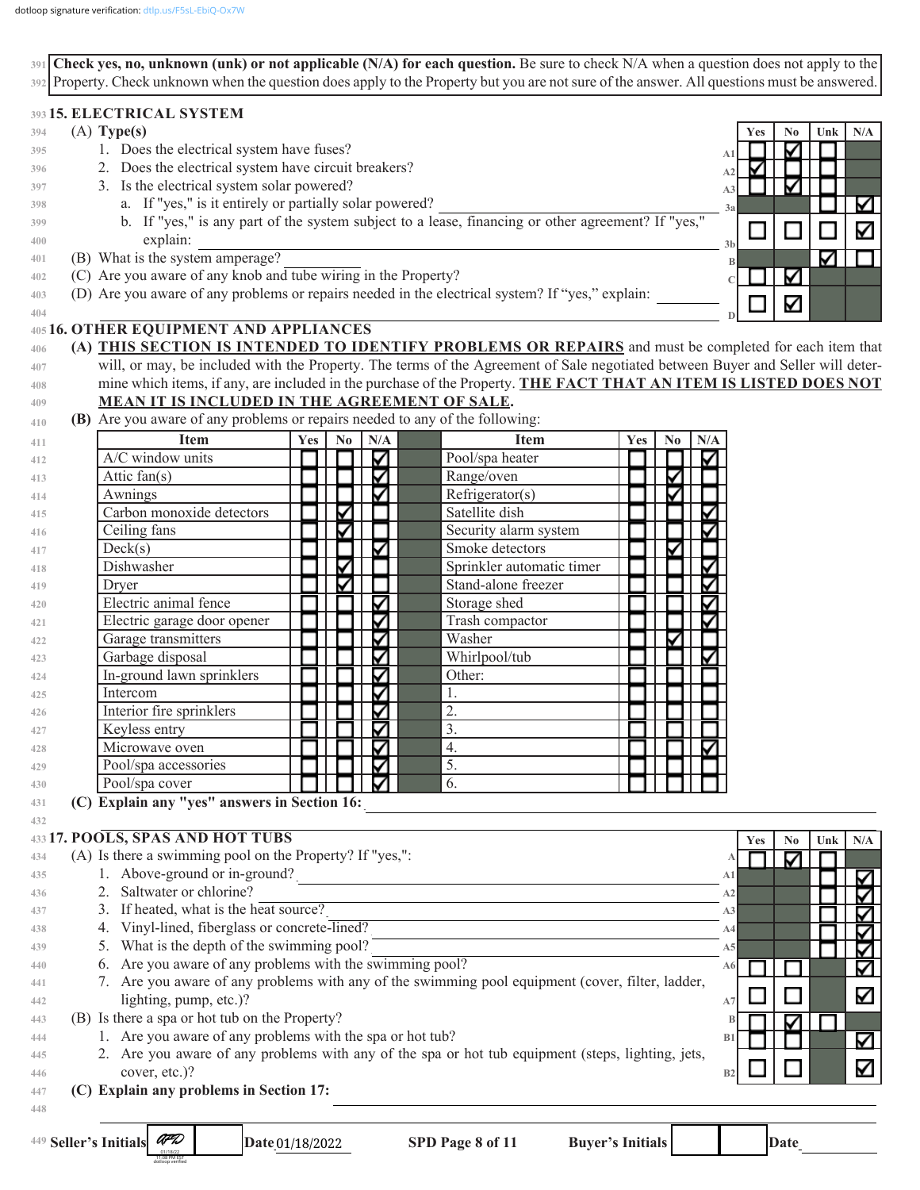**Check yes, no, unknown (unk) or not applicable (N/A) for each question.** Be sure to check N/A when a question does not apply to the **391** Property. Check unknown when the question does apply to the Property but you are not sure of the answer. All questions must be answered. **392**

## **15. ELECTRICAL SYSTEM 393**

| 394          | $(A)$ Type(s)                                                                                                                   | <b>Yes</b> | No. | Unk | N/A |
|--------------|---------------------------------------------------------------------------------------------------------------------------------|------------|-----|-----|-----|
| 395          | 1. Does the electrical system have fuses?                                                                                       |            |     |     |     |
| 396          | 2. Does the electrical system have circuit breakers?                                                                            |            |     |     |     |
| 397          | 3. Is the electrical system solar powered?                                                                                      |            |     |     |     |
| 398          | a. If "yes," is it entirely or partially solar powered?<br>3a                                                                   |            |     |     |     |
| 399          | b. If "yes," is any part of the system subject to a lease, financing or other agreement? If "yes,"                              |            |     |     | ⊽   |
| 400          | explain:<br>3 <sub>h</sub>                                                                                                      |            |     |     |     |
| 401          | (B) What is the system amperage?                                                                                                |            |     |     |     |
| 402          | (C) Are you aware of any knob and tube wiring in the Property?                                                                  |            | V   |     |     |
| 403          | (D) Are you aware of any problems or repairs needed in the electrical system? If "yes," explain:                                |            |     |     |     |
| 404          |                                                                                                                                 |            | ⊽   |     |     |
|              | 405 16. OTHER EQUIPMENT AND APPLIANCES                                                                                          |            |     |     |     |
| 406          | (A) THIS SECTION IS INTENDED TO IDENTIFY PROBLEMS OR REPAIRS and must be completed for each item that                           |            |     |     |     |
| 407          | will, or may, be included with the Property. The terms of the Agreement of Sale negotiated between Buyer and Seller will deter- |            |     |     |     |
| 408          | mine which items, if any, are included in the purchase of the Property. THE FACT THAT AN ITEM IS LISTED DOES NOT                |            |     |     |     |
| 409          | <b>MEAN IT IS INCLUDED IN THE AGREEMENT OF SALE.</b>                                                                            |            |     |     |     |
| $A + \Omega$ | (R) Are you aware of any problems or repairs needed to any of the following                                                     |            |     |     |     |

**(B)** Are you aware of any problems or repairs needed to any of the following: **410**

| 411 | Item                        | Yes | $\bf No$ | N/A | <b>Item</b>               | Yes | $\bf No$ | N/A |
|-----|-----------------------------|-----|----------|-----|---------------------------|-----|----------|-----|
| 412 | A/C window units            |     |          |     | Pool/spa heater           |     |          |     |
| 413 | Attic fan(s)                |     |          |     | Range/oven                |     |          |     |
| 414 | Awnings                     |     |          |     | Refrigerator(s)           |     |          |     |
| 415 | Carbon monoxide detectors   |     |          |     | Satellite dish            |     |          |     |
| 416 | Ceiling fans                |     |          |     | Security alarm system     |     |          |     |
| 417 | Deck(s)                     |     |          |     | Smoke detectors           |     |          |     |
| 418 | Dishwasher                  |     |          |     | Sprinkler automatic timer |     |          |     |
| 419 | Dryer                       |     |          |     | Stand-alone freezer       |     |          |     |
| 420 | Electric animal fence       |     |          |     | Storage shed              |     |          |     |
| 421 | Electric garage door opener |     |          |     | Trash compactor           |     |          |     |
| 422 | Garage transmitters         |     |          |     | Washer                    |     |          |     |
| 423 | Garbage disposal            |     |          |     | Whirlpool/tub             |     |          |     |
| 424 | In-ground lawn sprinklers   |     |          |     | Other:                    |     |          |     |
| 425 | Intercom                    |     |          |     | 1.                        |     |          |     |
| 426 | Interior fire sprinklers    |     |          |     | 2.                        |     |          |     |
| 427 | Keyless entry               |     |          |     | 3.                        |     |          |     |
| 428 | Microwave oven              |     |          |     | 4.                        |     |          |     |
| 429 | Pool/spa accessories        |     |          |     | 5.                        |     |          |     |
| 430 | Pool/spa cover              |     |          |     | 6.                        |     |          |     |

**(C) Explain any "yes" answers in Section 16:** \_\_\_\_\_\_\_\_\_\_\_\_\_\_\_\_\_\_\_\_\_\_\_\_\_\_\_\_\_\_\_\_\_\_\_\_\_\_\_\_\_\_\_\_\_\_\_\_\_\_\_\_\_\_\_\_\_\_\_\_\_\_\_\_\_\_\_ **431**

#### **17. POOLS, SPAS AND HOT TUBS 433**

11:08 PM EST dotloop verified

| 434 | (A) Is there a swimming pool on the Property? If "yes,":                                          |                |  |   |
|-----|---------------------------------------------------------------------------------------------------|----------------|--|---|
| 435 | 1. Above-ground or in-ground?                                                                     | A <sub>1</sub> |  |   |
| 436 | 2. Saltwater or chlorine?                                                                         | A <sub>2</sub> |  |   |
| 437 | 3. If heated, what is the heat source?                                                            | A3             |  |   |
| 438 | 4. Vinyl-lined, fiberglass or concrete-lined?                                                     | A4             |  |   |
| 439 | 5. What is the depth of the swimming pool?                                                        | A5             |  |   |
| 440 | 6. Are you aware of any problems with the swimming pool?                                          | A6             |  |   |
| 441 | 7. Are you aware of any problems with any of the swimming pool equipment (cover, filter, ladder,  |                |  |   |
| 442 | lighting, pump, etc.)?                                                                            | A7             |  | Δ |
| 443 | (B) Is there a spa or hot tub on the Property?                                                    |                |  |   |
| 444 | 1. Are you aware of any problems with the spa or hot tub?                                         | B1             |  | V |
| 445 | 2. Are you aware of any problems with any of the spa or hot tub equipment (steps, lighting, jets, |                |  |   |
| 446 | cover, etc.)?                                                                                     | B <sub>2</sub> |  |   |
| 447 | (C) Explain any problems in Section 17:                                                           |                |  |   |
| 448 |                                                                                                   |                |  |   |

**432**

**Yes No Unk N/A**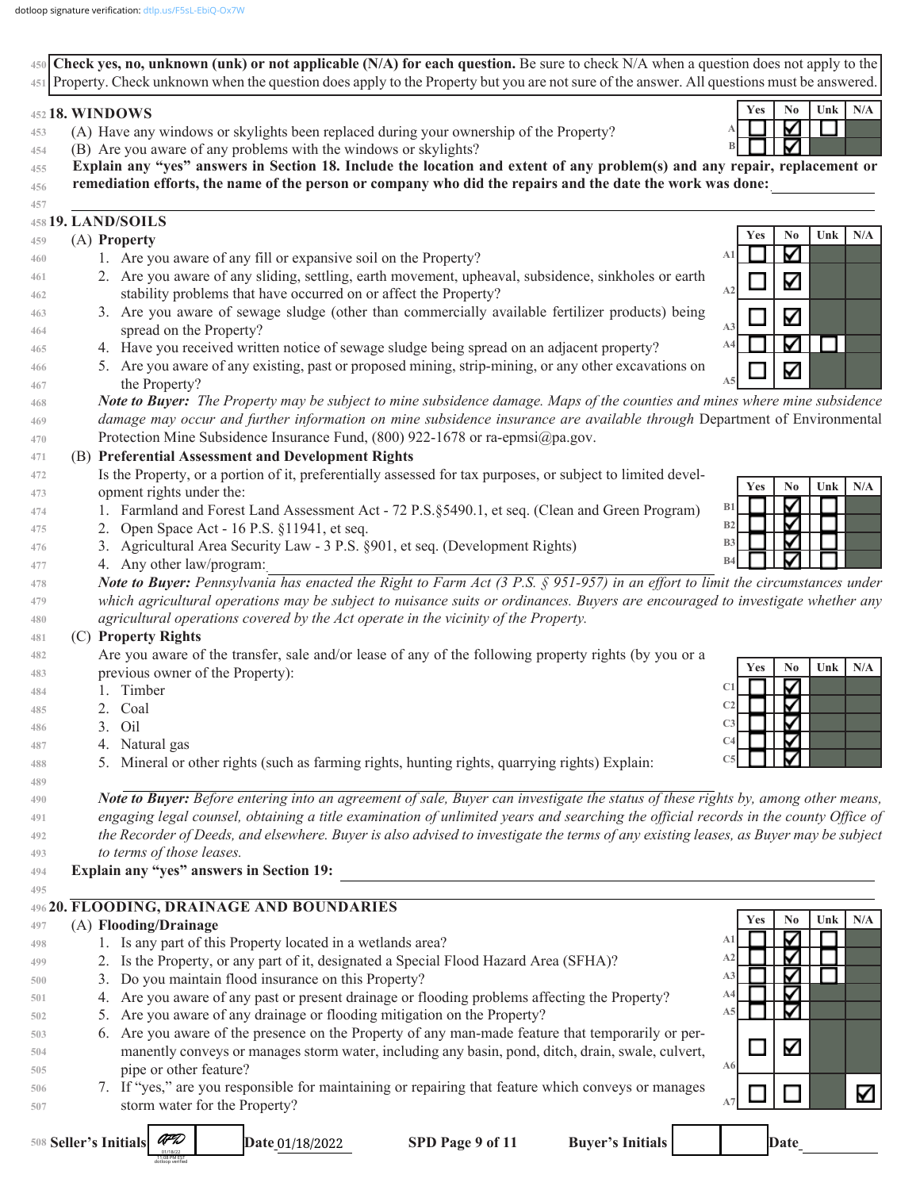11:08 PM EST dotloop verified

Property. Check unknown when the question does apply to the Property but you are not sure of the answer. All questions must be answered. **451**  $Yes$  **No Unk**  $N/A$ **452 18. WINDOWS** M (A) Have any windows or skylights been replaced during your ownership of the Property? **A 453 B** ▽ (B) Are you aware of any problems with the windows or skylights? **454 Explain any "yes" answers in Section 18. Include the location and extent of any problem(s) and any repair, replacement or 455** remediation efforts, the name of the person or company who did the repairs and the date the work was done: **456**  $\mathcal{L}_\text{max} = \frac{1}{2} \sum_{i=1}^n \mathcal{L}_\text{max} = \frac{1}{2} \sum_{i=1}^n \mathcal{L}_\text{max} = \frac{1}{2} \sum_{i=1}^n \mathcal{L}_\text{max} = \frac{1}{2} \sum_{i=1}^n \mathcal{L}_\text{max} = \frac{1}{2} \sum_{i=1}^n \mathcal{L}_\text{max} = \frac{1}{2} \sum_{i=1}^n \mathcal{L}_\text{max} = \frac{1}{2} \sum_{i=1}^n \mathcal{L}_\text{max} = \frac{1}{2} \sum_{i=$ **457 19. LAND/SOILS 458 Yes No Unk N/A** (A) **Property 459** M **A1** 1. Are you aware of any fill or expansive soil on the Property? **460** 2. Are you aware of any sliding, settling, earth movement, upheaval, subsidence, sinkholes or earth **461** Κ **A2** stability problems that have occurred on or affect the Property? **462** 3. Are you aware of sewage sludge (other than commercially available fertilizer products) being **463** Κ **A3** spread on the Property? **464** ∇  $\Box$ **A4 465** 4. Have you received written notice of sewage sludge being spread on an adjacent property? 5. Are you aware of any existing, past or proposed mining, strip-mining, or any other excavations on **466** V **A5 467** the Property? *Note to Buyer: The Property may be subject to mine subsidence damage. Maps of the counties and mines where mine subsidence*  **468** *damage may occur and further information on mine subsidence insurance are available through* Department of Environmental **469** Protection Mine Subsidence Insurance Fund, (800) 922-1678 or ra-epmsi@pa.gov. **470** (B) **Preferential Assessment and Development Rights 471** Is the Property, or a portion of it, preferentially assessed for tax purposes, or subject to limited devel-**472 Yes No Unk N/A 473** opment rights under the: ✓ **B1** 1. Farmland and Forest Land Assessment Act - 72 P.S.§5490.1, et seq. (Clean and Green Program) **474 B2** 2. Open Space Act - 16 P.S. §11941, et seq. **475 B3** 3. Agricultural Area Security Law - 3 P.S. §901, et seq. (Development Rights) **476 B4** 4. Any other law/program: **477 478** *Note to Buyer: Pennsylvania has enacted the Right to Farm Act (3 P.S. § 951-957) in an effort to limit the circumstances under which agricultural operations may be subject to nuisance suits or ordinances. Buyers are encouraged to investigate whether any*  **479** *agricultural operations covered by the Act operate in the vicinity of the Property.* **480** (C) **Property Rights 481** Are you aware of the transfer, sale and/or lease of any of the following property rights (by you or a **482**  $Yes$  **No Unk**  $N/A$ previous owner of the Property): **483 C1** 1. Timber **484** ⊽ **C2 485** 2. Coal **C3** 3. Oil **486 C4** 4. Natural gas **487** 5. Mineral or other rights (such as farming rights, hunting rights, quarrying rights) Explain: **C5 488 489 490**  *Note to Buyer: Before entering into an agreement of sale, Buyer can investigate the status of these rights by, among other means,*  engaging legal counsel, obtaining a title examination of unlimited years and searching the official records in the county Office of **491** *the Recorder of Deeds, and elsewhere. Buyer is also advised to investigate the terms of any existing leases, as Buyer may be subject*  **492 493** *to terms of those leases.* Explain any "yes" answers in Section 19: **494 495 496 20. FLOODING, DRAINAGE AND BOUNDARIES Yes No Unk N/A** (A) **Flooding/Drainage 497 A1 498** 1. Is any part of this Property located in a wetlands area? ⊽ **A2** 2. Is the Property, or any part of it, designated a Special Flood Hazard Area (SFHA)? **499** ▽ **A3 500** 3. Do you maintain flood insurance on this Property? **A4** 4. Are you aware of any past or present drainage or flooding problems affecting the Property? **501 A5** 5. Are you aware of any drainage or flooding mitigation on the Property? **502 503** 6. Are you aware of the presence on the Property of any man-made feature that temporarily or per-K manently conveys or manages storm water, including any basin, pond, ditch, drain, swale, culvert, **504 A6** pipe or other feature? **505** 7. If "yes," are you responsible for maintaining or repairing that feature which conveys or manages **506** ☑ **A7** storm water for the Property? **507 508 Seller's Initials** AFD **SPD Page 9 of 11 Buyer's Initials League 1 Buyer** Date 01/18/2022 01/18/22

**Check yes, no, unknown (unk) or not applicable (N/A) for each question.** Be sure to check N/A when a question does not apply to the **450**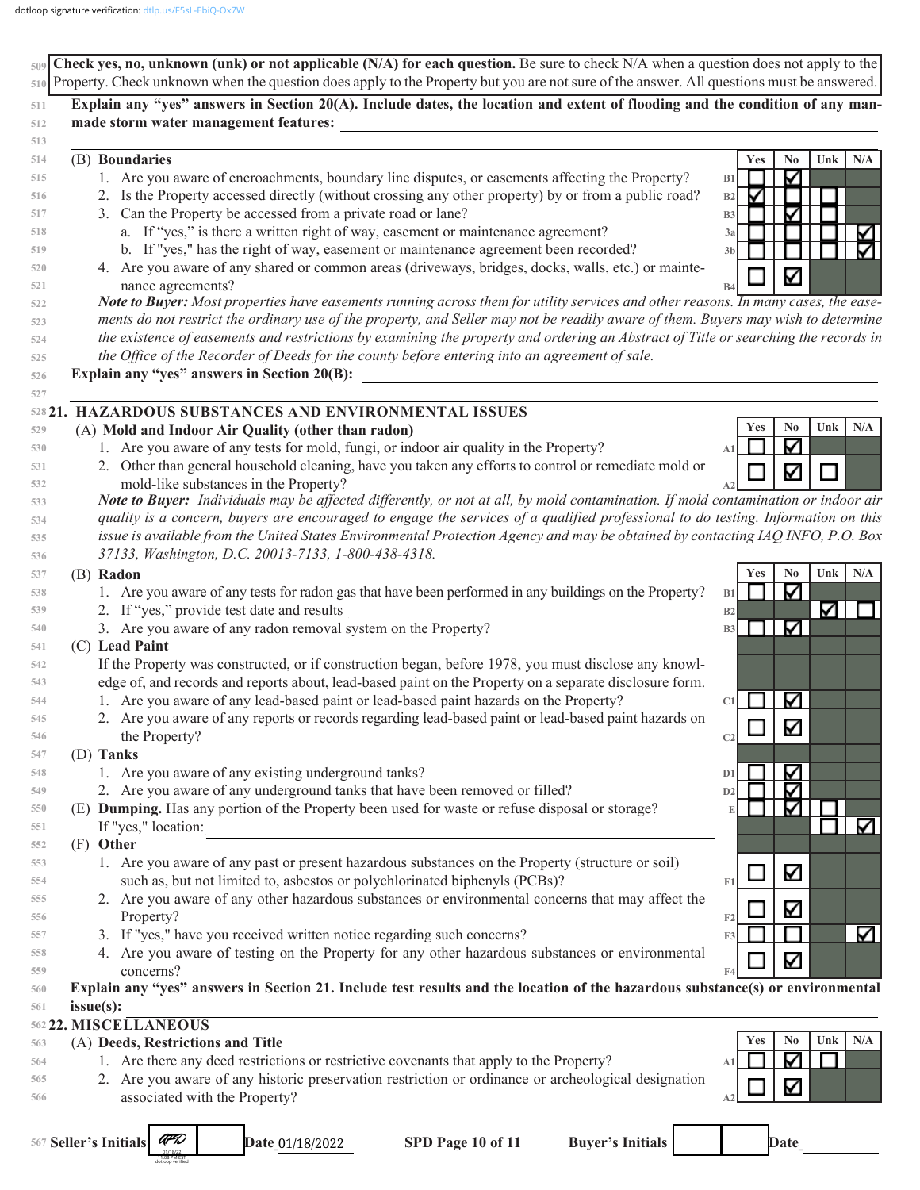| 510 Property. Check unknown when the question does apply to the Property but you are not sure of the answer. All questions must be answered.                                                                                     |     |
|----------------------------------------------------------------------------------------------------------------------------------------------------------------------------------------------------------------------------------|-----|
|                                                                                                                                                                                                                                  |     |
| Explain any "yes" answers in Section 20(A). Include dates, the location and extent of flooding and the condition of any man-<br>511                                                                                              |     |
| made storm water management features:<br>512                                                                                                                                                                                     |     |
| 513<br>(B) Boundaries<br>Yes<br>No<br>Unk<br>514                                                                                                                                                                                 | N/A |
| 1. Are you aware of encroachments, boundary line disputes, or easements affecting the Property?<br>∇<br>515<br>B1                                                                                                                |     |
| 2. Is the Property accessed directly (without crossing any other property) by or from a public road?<br>М<br>516<br>B2                                                                                                           |     |
| 3. Can the Property be accessed from a private road or lane?<br>✓<br>517<br><b>B3</b>                                                                                                                                            |     |
| a. If "yes," is there a written right of way, easement or maintenance agreement?<br>518<br>3a                                                                                                                                    | K   |
| b. If "yes," has the right of way, easement or maintenance agreement been recorded?<br>519<br>3 <sub>b</sub>                                                                                                                     | ☑   |
| 4. Are you aware of any shared or common areas (driveways, bridges, docks, walls, etc.) or mainte-<br>520                                                                                                                        |     |
| ∇<br>nance agreements?<br>521<br>B4                                                                                                                                                                                              |     |
| Note to Buyer: Most properties have easements running across them for utility services and other reasons. In many cases, the ease-<br>522                                                                                        |     |
| ments do not restrict the ordinary use of the property, and Seller may not be readily aware of them. Buyers may wish to determine<br>523                                                                                         |     |
| the existence of easements and restrictions by examining the property and ordering an Abstract of Title or searching the records in<br>524                                                                                       |     |
| the Office of the Recorder of Deeds for the county before entering into an agreement of sale.<br>525                                                                                                                             |     |
| Explain any "yes" answers in Section 20(B):<br>526                                                                                                                                                                               |     |
| 527                                                                                                                                                                                                                              |     |
| 528 21. HAZARDOUS SUBSTANCES AND ENVIRONMENTAL ISSUES                                                                                                                                                                            |     |
| Yes<br>No<br>Unk<br>(A) Mold and Indoor Air Quality (other than radon)<br>529                                                                                                                                                    | N/A |
| ∇<br>1. Are you aware of any tests for mold, fungi, or indoor air quality in the Property?<br>530<br>A <sub>1</sub>                                                                                                              |     |
| 2. Other than general household cleaning, have you taken any efforts to control or remediate mold or<br>531<br>∇                                                                                                                 |     |
| mold-like substances in the Property?<br>532                                                                                                                                                                                     |     |
| Note to Buyer: Individuals may be affected differently, or not at all, by mold contamination. If mold contamination or indoor air<br>533                                                                                         |     |
| quality is a concern, buyers are encouraged to engage the services of a qualified professional to do testing. Information on this<br>534                                                                                         |     |
| issue is available from the United States Environmental Protection Agency and may be obtained by contacting IAQ INFO, P.O. Box<br>535                                                                                            |     |
| 37133, Washington, D.C. 20013-7133, 1-800-438-4318.<br>536                                                                                                                                                                       |     |
| (B) Radon<br>N <sub>0</sub><br>Unk<br><b>Yes</b><br>537                                                                                                                                                                          | N/A |
| Κ<br>1. Are you aware of any tests for radon gas that have been performed in any buildings on the Property?<br>538<br>B1                                                                                                         |     |
| ☑∣<br>2. If "yes," provide test date and results<br>539<br>B2                                                                                                                                                                    |     |
| Κ<br>3. Are you aware of any radon removal system on the Property?<br>540<br>B <sub>3</sub>                                                                                                                                      |     |
| (C) Lead Paint<br>541                                                                                                                                                                                                            |     |
| If the Property was constructed, or if construction began, before 1978, you must disclose any knowl-<br>542                                                                                                                      |     |
| edge of, and records and reports about, lead-based paint on the Property on a separate disclosure form.<br>543<br>1. Are you aware of any lead-based paint or lead-based paint hazards on the Property?<br>$\blacktriangleright$ |     |
| 544<br>C1<br>545                                                                                                                                                                                                                 |     |
| 2. Are you aware of any reports or records regarding lead-based paint or lead-based paint hazards on<br>M<br>the Property?                                                                                                       |     |
| 546<br>C <sub>2</sub><br>(D) Tanks<br>547                                                                                                                                                                                        |     |
| ∇<br>1. Are you aware of any existing underground tanks?<br>548<br>D1                                                                                                                                                            |     |
| 2. Are you aware of any underground tanks that have been removed or filled?<br>∇<br>549<br>D2                                                                                                                                    |     |
| (E) Dumping. Has any portion of the Property been used for waste or refuse disposal or storage?<br>V<br>550<br>E                                                                                                                 |     |
| If "yes," location:<br>551                                                                                                                                                                                                       | M   |
| (F) Other<br>552                                                                                                                                                                                                                 |     |
| 1. Are you aware of any past or present hazardous substances on the Property (structure or soil)<br>553                                                                                                                          |     |
| Κ<br>such as, but not limited to, asbestos or polychlorinated biphenyls (PCBs)?<br>F1<br>554                                                                                                                                     |     |
| 2. Are you aware of any other hazardous substances or environmental concerns that may affect the<br>555                                                                                                                          |     |
| Μ<br>Property?<br>F2<br>556                                                                                                                                                                                                      |     |
| 3. If "yes," have you received written notice regarding such concerns?<br>F3<br>557                                                                                                                                              | M   |
| 4. Are you aware of testing on the Property for any other hazardous substances or environmental<br>558                                                                                                                           |     |
| ∇<br>concerns?<br>559                                                                                                                                                                                                            |     |
| Explain any "yes" answers in Section 21. Include test results and the location of the hazardous substance(s) or environmental<br>560                                                                                             |     |
| issue(s):<br>561                                                                                                                                                                                                                 |     |
| 562 22. MISCELLANEOUS                                                                                                                                                                                                            |     |
| Yes<br>No<br>Unk<br>(A) Deeds, Restrictions and Title<br>563                                                                                                                                                                     | N/A |
| ∇<br>1. Are there any deed restrictions or restrictive covenants that apply to the Property?<br>564<br>A1                                                                                                                        |     |
| 2. Are you aware of any historic preservation restriction or ordinance or archeological designation<br>565<br>Μ                                                                                                                  |     |
| associated with the Property?<br>566<br>A2                                                                                                                                                                                       |     |
|                                                                                                                                                                                                                                  |     |
| AFD<br>567 Seller's Initials<br>SPD Page 10 of 11<br><b>Buyer's Initials</b><br>Date<br>Date_01/18/2022                                                                                                                          |     |